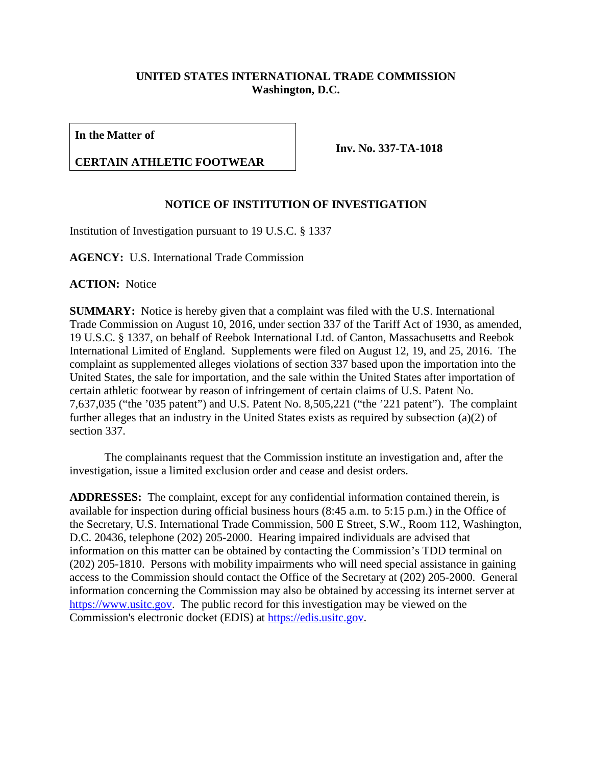## **UNITED STATES INTERNATIONAL TRADE COMMISSION Washington, D.C.**

**In the Matter of**

## **CERTAIN ATHLETIC FOOTWEAR**

**Inv. No. 337-TA-1018**

## **NOTICE OF INSTITUTION OF INVESTIGATION**

Institution of Investigation pursuant to 19 U.S.C. § 1337

**AGENCY:** U.S. International Trade Commission

**ACTION:** Notice

**SUMMARY:** Notice is hereby given that a complaint was filed with the U.S. International Trade Commission on August 10, 2016, under section 337 of the Tariff Act of 1930, as amended, 19 U.S.C. § 1337, on behalf of Reebok International Ltd. of Canton, Massachusetts and Reebok International Limited of England. Supplements were filed on August 12, 19, and 25, 2016. The complaint as supplemented alleges violations of section 337 based upon the importation into the United States, the sale for importation, and the sale within the United States after importation of certain athletic footwear by reason of infringement of certain claims of U.S. Patent No. 7,637,035 ("the '035 patent") and U.S. Patent No. 8,505,221 ("the '221 patent"). The complaint further alleges that an industry in the United States exists as required by subsection (a)(2) of section 337.

The complainants request that the Commission institute an investigation and, after the investigation, issue a limited exclusion order and cease and desist orders.

**ADDRESSES:** The complaint, except for any confidential information contained therein, is available for inspection during official business hours (8:45 a.m. to 5:15 p.m.) in the Office of the Secretary, U.S. International Trade Commission, 500 E Street, S.W., Room 112, Washington, D.C. 20436, telephone (202) 205-2000. Hearing impaired individuals are advised that information on this matter can be obtained by contacting the Commission's TDD terminal on (202) 205-1810. Persons with mobility impairments who will need special assistance in gaining access to the Commission should contact the Office of the Secretary at (202) 205-2000. General information concerning the Commission may also be obtained by accessing its internet server at [https://www.usitc.gov.](https://www.usitc.gov/) The public record for this investigation may be viewed on the Commission's electronic docket (EDIS) at [https://edis.usitc.gov.](https://edis.usitc.gov/)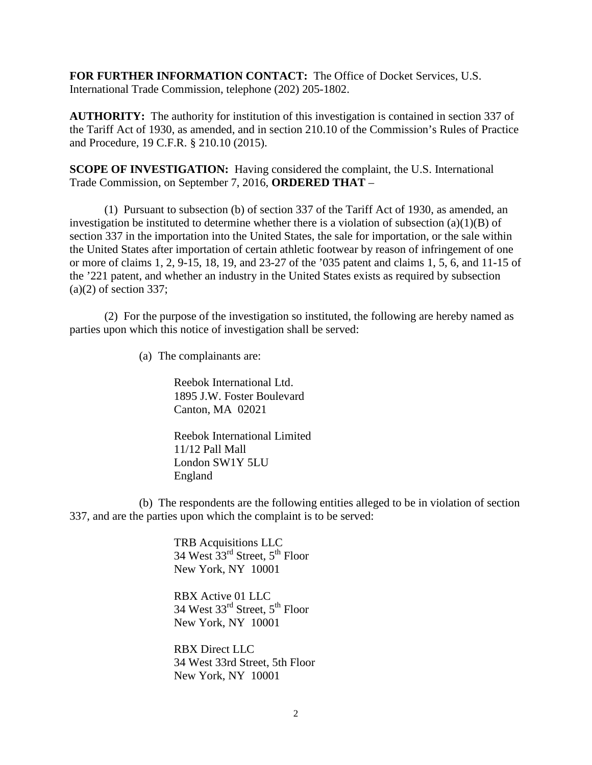**FOR FURTHER INFORMATION CONTACT:** The Office of Docket Services, U.S. International Trade Commission, telephone (202) 205-1802.

**AUTHORITY:** The authority for institution of this investigation is contained in section 337 of the Tariff Act of 1930, as amended, and in section 210.10 of the Commission's Rules of Practice and Procedure, 19 C.F.R. § 210.10 (2015).

**SCOPE OF INVESTIGATION:** Having considered the complaint, the U.S. International Trade Commission, on September 7, 2016, **ORDERED THAT** –

(1) Pursuant to subsection (b) of section 337 of the Tariff Act of 1930, as amended, an investigation be instituted to determine whether there is a violation of subsection  $(a)(1)(B)$  of section 337 in the importation into the United States, the sale for importation, or the sale within the United States after importation of certain athletic footwear by reason of infringement of one or more of claims 1, 2, 9-15, 18, 19, and 23-27 of the '035 patent and claims 1, 5, 6, and 11-15 of the '221 patent, and whether an industry in the United States exists as required by subsection  $(a)(2)$  of section 337;

(2) For the purpose of the investigation so instituted, the following are hereby named as parties upon which this notice of investigation shall be served:

(a) The complainants are:

Reebok International Ltd. 1895 J.W. Foster Boulevard Canton, MA 02021

Reebok International Limited 11/12 Pall Mall London SW1Y 5LU England

(b) The respondents are the following entities alleged to be in violation of section 337, and are the parties upon which the complaint is to be served:

> TRB Acquisitions LLC 34 West  $33<sup>rd</sup>$  Street,  $5<sup>th</sup>$  Floor New York, NY 10001

RBX Active 01 LLC 34 West  $33^{\text{rd}}$  Street,  $5^{\text{th}}$  Floor New York, NY 10001

RBX Direct LLC 34 West 33rd Street, 5th Floor New York, NY 10001